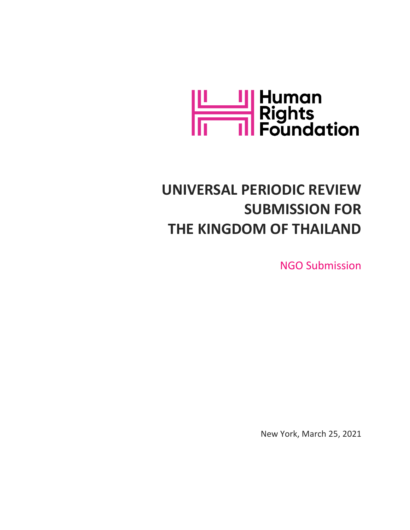

# **UNIVERSAL PERIODIC REVIEW SUBMISSION FOR THE KINGDOM OF THAILAND**

NGO Submission

New York, March 25, 2021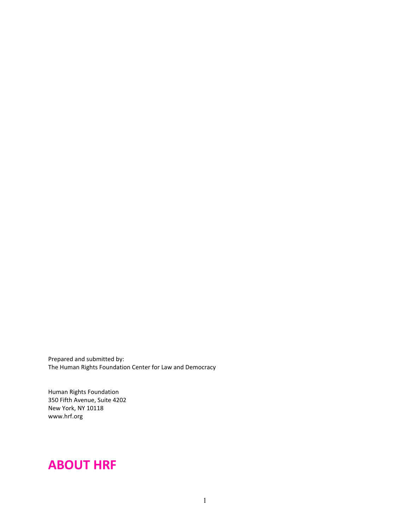Prepared and submitted by: The Human Rights Foundation Center for Law and Democracy

Human Rights Foundation 350 Fifth Avenue, Suite 4202 New York, NY 10118 [www.hrf.org](http://www.hrf.org)

## **ABOUT HRF**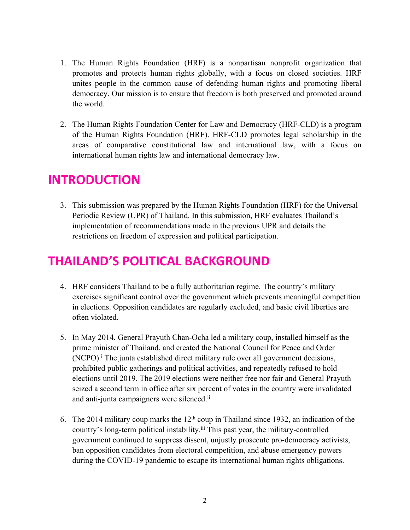- 1. The Human Rights Foundation (HRF) is <sup>a</sup> nonpartisan nonprofit organization that promotes and protects human rights globally, with <sup>a</sup> focus on closed societies. HRF unites people in the common cause of defending human rights and promoting liberal democracy. Our mission is to ensure that freedom is both preserved and promoted around the world.
- 2. The Human Rights Foundation Center for Law and Democracy (HRF-CLD) is <sup>a</sup> program of the Human Rights Foundation (HRF). HRF-CLD promotes legal scholarship in the areas of comparative constitutional law and international law, with <sup>a</sup> focus on international human rights law and international democracy law.

### **INTRODUCTION**

3. This submission was prepared by the Human Rights Foundation (HRF) for the Universal Periodic Review (UPR) of Thailand. In this submission, HRF evaluates Thailand'<sup>s</sup> implementation of recommendations made in the previous UPR and details the restrictions on freedom of expression and political participation.

## **THAILAND'S POLITICAL BACKGROUND**

- 4. HRF considers Thailand to be <sup>a</sup> fully authoritarian regime. The country'<sup>s</sup> military exercises significant control over the governmen<sup>t</sup> which prevents meaningful competition in elections. Opposition candidates are regularly excluded, and basic civil liberties are often violated.
- 5. In May 2014, General Prayuth Chan-Ocha led <sup>a</sup> military coup, installed himself as the prime minister of Thailand, and created the National Council for Peace and Order (NCPO). i The junta established direct military rule over all governmen<sup>t</sup> decisions, prohibited public gatherings and political activities, and repeatedly refused to hold elections until 2019. The 2019 elections were neither free nor fair and General Prayuth seized <sup>a</sup> second term in office after six percen<sup>t</sup> of votes in the country were invalidated and anti-junta campaigners were silenced.<sup>ii</sup>
- 6. The 2014 military coup marks the  $12<sup>th</sup>$  coup in Thailand since 1932, an indication of the country'<sup>s</sup> long-term political instability. iii This pas<sup>t</sup> year, the military-controlled governmen<sup>t</sup> continued to suppress dissent, unjustly prosecute pro-democracy activists, ban opposition candidates from electoral competition, and abuse emergency powers during the COVID-19 pandemic to escape its international human rights obligations.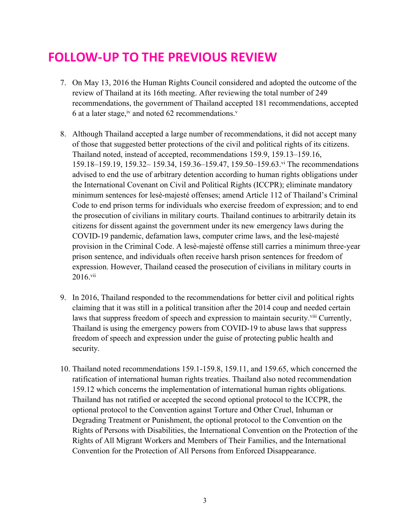# **FOLLOW-UP TO THE PREVIOUS REVIEW**

- 7. On May 13, 2016 the Human Rights Council considered and adopted the outcome of the review of Thailand at its 16th meeting. After reviewing the total number of 249 recommendations, the governmen<sup>t</sup> of Thailand accepted 181 recommendations, accepted 6 at a later stage, iv and noted 62 recommendations.
- 8. Although Thailand accepted <sup>a</sup> large number of recommendations, it did not accep<sup>t</sup> many of those that suggested better protections of the civil and political rights of its citizens. Thailand noted, instead of accepted, recommendations 159.9, 159.13–159.16, 159.18–159.19, 159.32– 159.34, 159.36–159.47, 159.50–159.63. vi The recommendations advised to end the use of arbitrary detention according to human rights obligations under the International Covenant on Civil and Political Rights (ICCPR); eliminate mandatory minimum sentences for lesè-majesté offenses; amend Article 112 of Thailand'<sup>s</sup> Criminal Code to end prison terms for individuals who exercise freedom of expression; and to end the prosecution of civilians in military courts. Thailand continues to arbitrarily detain its citizens for dissent against the governmen<sup>t</sup> under its new emergency laws during the COVID-19 pandemic, defamation laws, computer crime laws, and the lesè-majesté provision in the Criminal Code. A lesè-majesté offense still carries <sup>a</sup> minimum three-year prison sentence, and individuals often receive harsh prison sentences for freedom of expression. However, Thailand ceased the prosecution of civilians in military courts in 2016.<sup>vii</sup>
- 9. In 2016, Thailand responded to the recommendations for better civil and political rights claiming that it was still in <sup>a</sup> political transition after the 2014 coup and needed certain laws that suppress freedom of speech and expression to maintain security.<sup>viii</sup> Currently, Thailand is using the emergency powers from COVID-19 to abuse laws that suppress freedom of speech and expression under the guise of protecting public health and security.
- 10. Thailand noted recommendations 159.1-159.8, 159.11, and 159.65, which concerned the ratification of international human rights treaties. Thailand also noted recommendation 159.12 which concerns the implementation of international human rights obligations. Thailand has not ratified or accepted the second optional protocol to the ICCPR, the optional protocol to the Convention against Torture and Other Cruel, Inhuman or Degrading Treatment or Punishment, the optional protocol to the Convention on the Rights of Persons with Disabilities, the International Convention on the Protection of the Rights of All Migrant Workers and Members of Their Families, and the International Convention for the Protection of All Persons from Enforced Disappearance.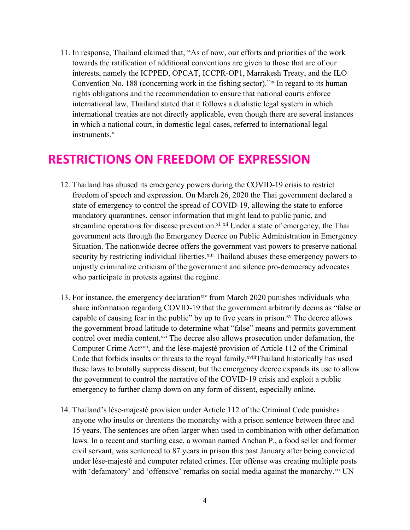11. In response, Thailand claimed that, "As of now, our efforts and priorities of the work towards the ratification of additional conventions are given to those that are of our interests, namely the ICPPED, OPCAT, ICCPR-OP1, Marrakesh Treaty, and the ILO Convention No. 188 (concerning work in the fishing sector)."ix In regard to its human rights obligations and the recommendation to ensure that national courts enforce international law, Thailand stated that it follows <sup>a</sup> dualistic legal system in which international treaties are not directly applicable, even though there are several instances in which <sup>a</sup> national court, in domestic legal cases, referred to international legal instruments. x

#### **RESTRICTIONS ON FREEDOM OF EXPRESSION**

- 12. Thailand has abused its emergency powers during the COVID-19 crisis to restrict freedom of speech and expression. On March 26, 2020 the Thai governmen<sup>t</sup> declared <sup>a</sup> state of emergency to control the spread of COVID-19, allowing the state to enforce mandatory quarantines, censor information that might lead to public panic, and streamline operations for disease prevention.<sup>xi xii</sup> Under a state of emergency, the Thai governmen<sup>t</sup> acts through the Emergency Decree on Public Administration in Emergency Situation. The nationwide decree offers the governmen<sup>t</sup> vast powers to preserve national security by restricting individual liberties.<sup>xiii</sup> Thailand abuses these emergency powers to unjustly criminalize criticism of the governmen<sup>t</sup> and silence pro-democracy advocates who participate in protests against the regime.
- 13. For instance, the emergency declaration<sup>xiv</sup> from March 2020 punishes individuals who share information regarding COVID-19 that the governmen<sup>t</sup> arbitrarily deems as "false or capable of causing fear in the public" by up to five years in prison.<sup>xv</sup> The decree allows the governmen<sup>t</sup> broad latitude to determine what "false" means and permits governmen<sup>t</sup> control over media content.<sup>xvi</sup> The decree also allows prosecution under defamation, the Computer Crime Act<sup>xvii</sup>, and the lèse-majesté provision of Article 112 of the Criminal Code that forbids insults or threats to the royal family. xviii Thailand historically has used these laws to brutally suppress dissent, but the emergency decree expands its use to allow the governmen<sup>t</sup> to control the narrative of the COVID-19 crisis and exploit <sup>a</sup> public emergency to further clamp down on any form of dissent, especially online.
- 14. Thailand'<sup>s</sup> lèse-majesté provision under Article 112 of the Criminal Code punishes anyone who insults or threatens the monarchy with <sup>a</sup> prison sentence between three and 15 years. The sentences are often larger when used in combination with other defamation laws. In <sup>a</sup> recent and startling case, <sup>a</sup> woman named Anchan P., <sup>a</sup> food seller and former civil servant, was sentenced to 87 years in prison this pas<sup>t</sup> January after being convicted under lèse-majesté and computer related crimes. Her offense was creating multiple posts with 'defamatory' and 'offensive' remarks on social media against the monarchy.<sup>xix</sup> UN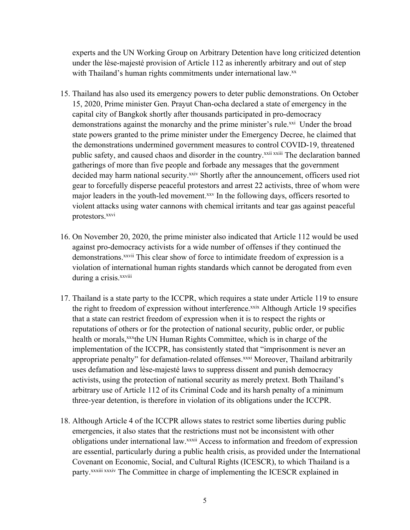experts and the UN Working Group on Arbitrary Detention have long criticized detention under the lèse-majesté provision of Article 112 as inherently arbitrary and out of step with Thailand's human rights commitments under international law.<sup>xx</sup>

- 15. Thailand has also used its emergency powers to deter public demonstrations. On October 15, 2020, Prime minister Gen. Prayut Chan-ocha declared <sup>a</sup> state of emergency in the capital city of Bangkok shortly after thousands participated in pro-democracy demonstrations against the monarchy and the prime minister's rule.xxi Under the broad state powers granted to the prime minister under the Emergency Decree, he claimed that the demonstrations undermined governmen<sup>t</sup> measures to control COVID-19, threatened public safety, and caused chaos and disorder in the country.<sup>xxii xxiii</sup> The declaration banned gatherings of more than five people and forbade any messages that the governmen<sup>t</sup> decided may harm national security.<sup>xxiv</sup> Shortly after the announcement, officers used riot gear to forcefully disperse peaceful protestors and arrest 22 activists, three of whom were major leaders in the youth-led movement. xxv In the following days, officers resorted to violent attacks using water cannons with chemical irritants and tear gas against peaceful protestors. xxvi
- 16. On November 20, 2020, the prime minister also indicated that Article 112 would be used against pro-democracy activists for <sup>a</sup> wide number of offenses if they continued the demonstrations.<sup>xxvii</sup> This clear show of force to intimidate freedom of expression is a violation of international human rights standards which cannot be derogated from even during a crisis.<sup>xxviii</sup>
- 17. Thailand is <sup>a</sup> state party to the ICCPR, which requires <sup>a</sup> state under Article 119 to ensure the right to freedom of expression without interference.<sup>xxix</sup> Although Article 19 specifies that <sup>a</sup> state can restrict freedom of expression when it is to respec<sup>t</sup> the rights or reputations of others or for the protection of national security, public order, or public health or morals, xxx the UN Human Rights Committee, which is in charge of the implementation of the ICCPR, has consistently stated that "imprisonment is never an appropriate penalty" for defamation-related offenses.<sup>xxxi</sup> Moreover, Thailand arbitrarily uses defamation and lèse-majesté laws to suppress dissent and punish democracy activists, using the protection of national security as merely pretext. Both Thailand'<sup>s</sup> arbitrary use of Article 112 of its Criminal Code and its harsh penalty of <sup>a</sup> minimum three-year detention, is therefore in violation of its obligations under the ICCPR.
- 18. Although Article 4 of the ICCPR allows states to restrict some liberties during public emergencies, it also states that the restrictions must not be inconsistent with other obligations under international law.xxxii Access to information and freedom of expression are essential, particularly during <sup>a</sup> public health crisis, as provided under the International Covenant on Economic, Social, and Cultural Rights (ICESCR), to which Thailand is <sup>a</sup> party.<sup>xxxiii xxxiv</sup> The Committee in charge of implementing the ICESCR explained in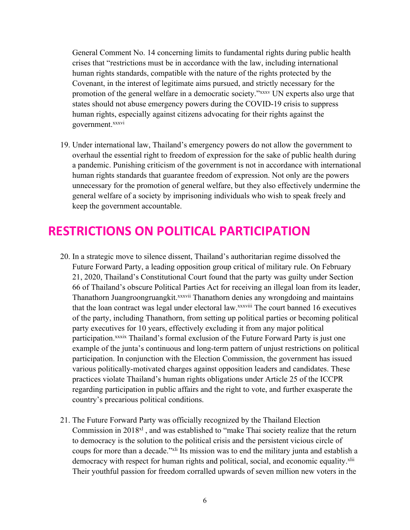General Comment No. 14 concerning limits to fundamental rights during public health crises that "restrictions must be in accordance with the law, including international human rights standards, compatible with the nature of the rights protected by the Covenant, in the interest of legitimate aims pursued, and strictly necessary for the promotion of the general welfare in <sup>a</sup> democratic society."xxxv UN experts also urge that states should not abuse emergency powers during the COVID-19 crisis to suppress human rights, especially against citizens advocating for their rights against the government. xxxvi

19. Under international law, Thailand'<sup>s</sup> emergency powers do not allow the governmen<sup>t</sup> to overhaul the essential right to freedom of expression for the sake of public health during <sup>a</sup> pandemic. Punishing criticism of the governmen<sup>t</sup> is not in accordance with international human rights standards that guarantee freedom of expression. Not only are the powers unnecessary for the promotion of general welfare, but they also effectively undermine the general welfare of <sup>a</sup> society by imprisoning individuals who wish to speak freely and keep the governmen<sup>t</sup> accountable.

## **RESTRICTIONS ON POLITICAL PARTICIPATION**

- 20. In <sup>a</sup> strategic move to silence dissent, Thailand'<sup>s</sup> authoritarian regime dissolved the Future Forward Party, <sup>a</sup> leading opposition group critical of military rule. On February 21, 2020, Thailand'<sup>s</sup> Constitutional Court found that the party was guilty under Section 66 of Thailand'<sup>s</sup> obscure Political Parties Act for receiving an illegal loan from its leader, Thanathorn Juangroongruangkit. xxxvii Thanathorn denies any wrongdoing and maintains that the loan contract was legal under electoral law. XXXVIII The court banned 16 executives of the party, including Thanathorn, from setting up political parties or becoming political party executives for 10 years, effectively excluding it from any major political participation.<sup>xxxix</sup> Thailand's formal exclusion of the Future Forward Party is just one example of the junta'<sup>s</sup> continuous and long-term pattern of unjust restrictions on political participation. In conjunction with the Election Commission, the governmen<sup>t</sup> has issued various politically-motivated charges against opposition leaders and candidates. These practices violate Thailand'<sup>s</sup> human rights obligations under Article 25 of the ICCPR regarding participation in public affairs and the right to vote, and further exasperate the country'<sup>s</sup> precarious political conditions.
- 21. The Future Forward Party was officially recognized by the Thailand Election Commission in 2018<sup>x1</sup>, and was established to "make Thai society realize that the return to democracy is the solution to the political crisis and the persistent vicious circle of coups for more than a decade."<sup>xli</sup> Its mission was to end the military junta and establish a democracy with respect for human rights and political, social, and economic equality.<sup>xlii</sup> Their youthful passion for freedom corralled upwards of seven million new voters in the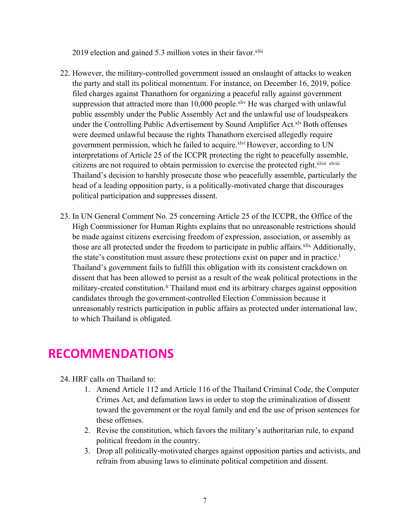2019 election and gained 5.3 million votes in their favor.<sup>xliii</sup>

- 22. However, the military-controlled governmen<sup>t</sup> issued an onslaught of attacks to weaken the party and stall its political momentum. For instance, on December 16, 2019, police filed charges against Thanathorn for organizing <sup>a</sup> peaceful rally against governmen<sup>t</sup> suppression that attracted more than 10,000 people.<sup>xliv</sup> He was charged with unlawful public assembly under the Public Assembly Act and the unlawful use of loudspeakers under the Controlling Public Advertisement by Sound Amplifier Act. XIV Both offenses were deemed unlawful because the rights Thanathorn exercised allegedly require government permission, which he failed to acquire. XIVI However, according to UN interpretations of Article 25 of the ICCPR protecting the right to peacefully assemble, citizens are not required to obtain permission to exercise the protected right. xlvii xlviii Thailand'<sup>s</sup> decision to harshly prosecute those who peacefully assemble, particularly the head of <sup>a</sup> leading opposition party, is <sup>a</sup> politically-motivated charge that discourages political participation and suppresses dissent.
- 23. In UN General Comment No. 25 concerning Article 25 of the ICCPR, the Office of the High Commissioner for Human Rights explains that no unreasonable restrictions should be made against citizens exercising freedom of expression, association, or assembly as those are all protected under the freedom to participate in public affairs. <sup>xlix</sup> Additionally, the state's constitution must assure these protections exist on paper and in practice.<sup>1</sup> Thailand'<sup>s</sup> governmen<sup>t</sup> fails to fulfill this obligation with its consistent crackdown on dissent that has been allowed to persist as <sup>a</sup> result of the weak political protections in the military-created constitution.<sup>Ii</sup> Thailand must end its arbitrary charges against opposition candidates through the government-controlled Election Commission because it unreasonably restricts participation in public affairs as protected under international law, to which Thailand is obligated.

#### **RECOMMENDATIONS**

- 24. HRF calls on Thailand to:
	- 1. Amend Article 112 and Article 116 of the Thailand Criminal Code, the Computer Crimes Act, and defamation laws in order to stop the criminalization of dissent toward the governmen<sup>t</sup> or the royal family and end the use of prison sentences for these offenses.
	- 2. Revise the constitution, which favors the military'<sup>s</sup> authoritarian rule, to expand political freedom in the country.
	- 3. Drop all politically-motivated charges against opposition parties and activists, and refrain from abusing laws to eliminate political competition and dissent.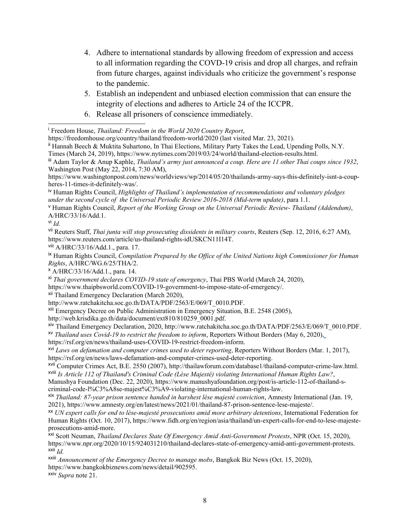- 4. Adhere to international standards by allowing freedom of expression and access to all information regarding the COVD-19 crisis and drop all charges, and refrain from future charges, against individuals who criticize the government'<sup>s</sup> response to the pandemic.
- 5. Establish an independent and unbiased election commission that can ensure the integrity of elections and adheres to Article 24 of the ICCPR.
- 6. Release all prisoners of conscience immediately.

iv Human Rights Council, *[H](https://www.ohchr.org/EN/HRBodies/UPR/Pages/UPRImplementation.aspx)ighlights of Thailand'<sup>s</sup> [implementation](https://www.ohchr.org/EN/HRBodies/UPR/Pages/UPRImplementation.aspx) of recommendations and voluntary <sup>p</sup>ledges under the second cycle of the Universal Periodic Review 2016-2018 [\(Mid-term](https://www.ohchr.org/EN/HRBodies/UPR/Pages/UPRImplementation.aspx) update)*, [para](https://www.ohchr.org/EN/HRBodies/UPR/Pages/UPRImplementation.aspx) 1.1.

<sup>v</sup> Human Rights Council, *Report of the Working Group on the Universal Periodic Review- Thailand (Addendum)*, A/HRC/33/16/Add.1.

vii Reuters Staff, *Thai junta will stop prosecuting dissidents in military courts*, Reuters (Sep. 12, 2016, 6:27 AM), https://www.reuters.com/article/us-thailand-rights-idUSKCN11I14T.

viii A/HRC/33/16/Add.1., para. 17.

ix Human Rights Council, *Compilation Prepared by the Office of the United Nations high Commissioner for Human Rights*, A/HRC/WG.6/25/THA/2.

<sup>x</sup> A/HRC/33/16/Add.1., para. 14.

xi *Thai governmen<sup>t</sup> declares COVID-19 state of emergency*, Thai PBS World (March 24, 2020),

https://www.thaipbsworld.com/COVID-19-government-to-impose-state-of-emergency/.

<sup>xii</sup> Thailand Emergency Declaration (March 2020),

http://www.ratchakitcha.soc.go.th/DATA/PDF/2563/E/069/T\_0010.PDF.

<sup>xiii</sup> Emergency Decree on Public Administration in Emergency Situation, B.E. 2548 (2005),

http://web.krisdika.go.th/data/document/ext810/810259\_0001.pdf.

<sup>xiv</sup> Thailand Emergency Declaration, 2020, http://www.ratchakitcha.soc.go.th/DATA/PDF/2563/E/069/T\_0010.PDF. xv *Thailand uses Covid-19 to restrict the freedom to inform*, Reporters Without Borders (May 6, 2020),

https://rsf.org/en/news/thailand-uses-COVID-19-restrict-freedom-inform.

xvi *Laws on defamation and computer crimes used to deter reporting*, Reporters Without Borders (Mar. 1, 2017), https://rsf.org/en/news/laws-defamation-and-computer-crimes-used-deter-reporting.

xvii Computer Crimes Act, B.E. 2550 (2007), http://thailawforum.com/database1/thailand-computer-crime-law.html. xviii *Is Article 112 of Thailand's Criminal Code (Lèse Majesté) violating International Human Rights Law?*,

Manushya Foundation (Dec. 22, 2020), https://www.manushyafoundation.org/post/is-article-112-of-thailand-scriminal-code-l%C3%A8se-majest%C3%A9-violating-international-human-rights-law.

xix *Thailand: 87-year prison sentence handed in harshest lèse majesté conviction*, Amnesty International (Jan. 19, 2021), https://www.amnesty.org/en/latest/news/2021/01/thailand-87-prison-sentence-lese-majeste/.

xx *UN exper<sup>t</sup> calls for end to lèse-majesté prosecutions amid more arbitrary detentions*, International Federation for Human Rights (Oct. 10, 2017), https://www.fidh.org/en/region/asia/thailand/un-expert-calls-for-end-to-lese-majesteprosecutions-amid-more.

xxi Scott Neuman, *Thailand Declares State Of Emergency Amid Anti-Government Protests*, NPR (Oct. 15, 2020), https://www.npr.org/2020/10/15/924031210/thailand-declares-state-of-emergency-amid-anti-government-protests. xxii *Id.*

xxiii *Announcement of the Emergency Decree to manage mobs*, Bangkok Biz News (Oct. 15, 2020), https://www.bangkokbiznews.com/news/detail/902595.

xxiv *Supra* note 21.

i Freedom House, *Thailand: Freedom in the World 2020 Country Report*,

https://freedomhouse.org/country/thailand/freedom-world/2020 (last visited Mar. 23, 2021).

<sup>&</sup>lt;sup>ii</sup> Hannah Beech & Muktita Suhartono, In Thai Elections, Military Party Takes the Lead, Upending Polls, N.Y. Times (March 24, 2019), https://www.nytimes.com/2019/03/24/world/thailand-election-results.html.

iii Adam Taylor & Anup Kaphle, *Thailand'<sup>s</sup> army just announced <sup>a</sup> coup. Here are <sup>11</sup> other Thai coups since <sup>1932</sup>*, Washington Post (May 22, 2014, 7:30 AM),

https://www.washingtonpost.com/news/worldviews/wp/2014/05/20/thailands-army-says-this-definitely-isnt-a-coupheres-11-times-it-definitely-was/.

vi *Id.*